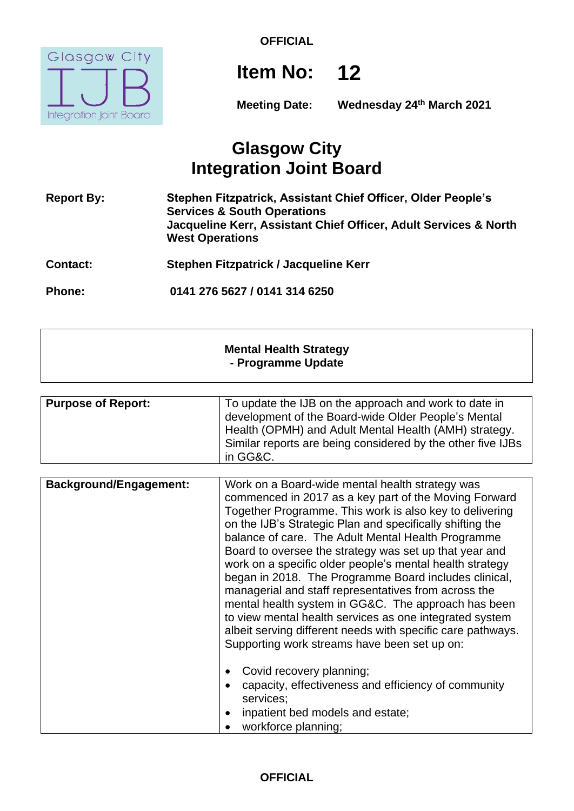

# **Item No: 12**

**Meeting Date: Wednesday 24th March 2021**

# **Glasgow City Integration Joint Board**

**Report By: Stephen Fitzpatrick, Assistant Chief Officer, Older People's Services & South Operations Jacqueline Kerr, Assistant Chief Officer, Adult Services & North West Operations**

**Contact: Stephen Fitzpatrick / Jacqueline Kerr**

**Phone: 0141 276 5627 / 0141 314 6250**

### **Mental Health Strategy - Programme Update**

| <b>Background/Engagement:</b> | Work on a Board-wide mental health strategy was<br>commenced in 2017 as a key part of the Moving Forward<br>Together Programme. This work is also key to delivering<br>on the IJB's Strategic Plan and specifically shifting the<br>balance of care. The Adult Mental Health Programme<br>Board to oversee the strategy was set up that year and<br>work on a specific older people's mental health strategy<br>began in 2018. The Programme Board includes clinical,<br>managerial and staff representatives from across the<br>mental health system in GG&C. The approach has been<br>to view mental health services as one integrated system<br>albeit serving different needs with specific care pathways.<br>Supporting work streams have been set up on: |
|-------------------------------|----------------------------------------------------------------------------------------------------------------------------------------------------------------------------------------------------------------------------------------------------------------------------------------------------------------------------------------------------------------------------------------------------------------------------------------------------------------------------------------------------------------------------------------------------------------------------------------------------------------------------------------------------------------------------------------------------------------------------------------------------------------|
|                               | Covid recovery planning;<br>capacity, effectiveness and efficiency of community<br>services;<br>inpatient bed models and estate;<br>workforce planning;                                                                                                                                                                                                                                                                                                                                                                                                                                                                                                                                                                                                        |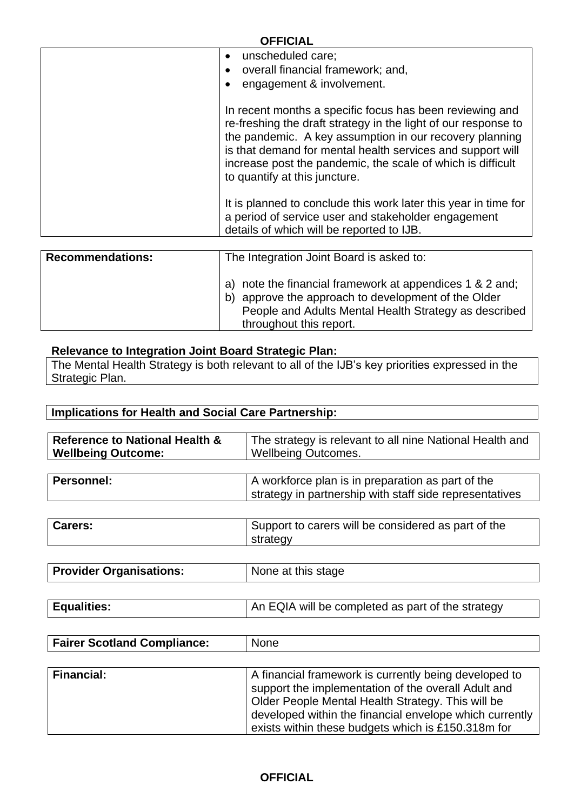|   | <b>OFFICIAL</b>                                                                                                                                                                                                                                                                                                                                                                                                        |
|---|------------------------------------------------------------------------------------------------------------------------------------------------------------------------------------------------------------------------------------------------------------------------------------------------------------------------------------------------------------------------------------------------------------------------|
|   | unscheduled care;<br>$\bullet$<br>overall financial framework; and,<br>$\bullet$<br>engagement & involvement.<br>$\bullet$                                                                                                                                                                                                                                                                                             |
|   | In recent months a specific focus has been reviewing and<br>re-freshing the draft strategy in the light of our response to<br>the pandemic. A key assumption in our recovery planning<br>is that demand for mental health services and support will<br>increase post the pandemic, the scale of which is difficult<br>to quantify at this juncture.<br>It is planned to conclude this work later this year in time for |
|   | a period of service user and stakeholder engagement<br>details of which will be reported to IJB.                                                                                                                                                                                                                                                                                                                       |
|   |                                                                                                                                                                                                                                                                                                                                                                                                                        |
| . |                                                                                                                                                                                                                                                                                                                                                                                                                        |

| <b>Recommendations:</b> | The Integration Joint Board is asked to:                                                                                                                                                                  |  |  |  |
|-------------------------|-----------------------------------------------------------------------------------------------------------------------------------------------------------------------------------------------------------|--|--|--|
|                         | note the financial framework at appendices 1 & 2 and;<br>a)<br>approve the approach to development of the Older<br>b)<br>People and Adults Mental Health Strategy as described<br>throughout this report. |  |  |  |

#### **Relevance to Integration Joint Board Strategic Plan:**

The Mental Health Strategy is both relevant to all of the IJB's key priorities expressed in the Strategic Plan.

# **Implications for Health and Social Care Partnership:**

| <b>Reference to National Health &amp;</b><br><b>Wellbeing Outcome:</b> | The strategy is relevant to all nine National Health and<br><b>Wellbeing Outcomes.</b>                       |  |  |  |
|------------------------------------------------------------------------|--------------------------------------------------------------------------------------------------------------|--|--|--|
| <b>Personnel:</b>                                                      |                                                                                                              |  |  |  |
|                                                                        | A workforce plan is in preparation as part of the<br>strategy in partnership with staff side representatives |  |  |  |
|                                                                        |                                                                                                              |  |  |  |
| Carers:                                                                | Support to carers will be considered as part of the<br>strategy                                              |  |  |  |
|                                                                        |                                                                                                              |  |  |  |
| <b>Provider Organisations:</b>                                         | None at this stage                                                                                           |  |  |  |
|                                                                        |                                                                                                              |  |  |  |

| Equalities: | An EQIA will be completed as part of the strategy |
|-------------|---------------------------------------------------|
|             |                                                   |

| <b>Fairer Scotland Compliance:</b> | <b>None</b>                                                                                                                                                                                                                                                                        |
|------------------------------------|------------------------------------------------------------------------------------------------------------------------------------------------------------------------------------------------------------------------------------------------------------------------------------|
|                                    |                                                                                                                                                                                                                                                                                    |
| <b>Financial:</b>                  | A financial framework is currently being developed to<br>support the implementation of the overall Adult and<br>Older People Mental Health Strategy. This will be<br>developed within the financial envelope which currently<br>exists within these budgets which is £150.318m for |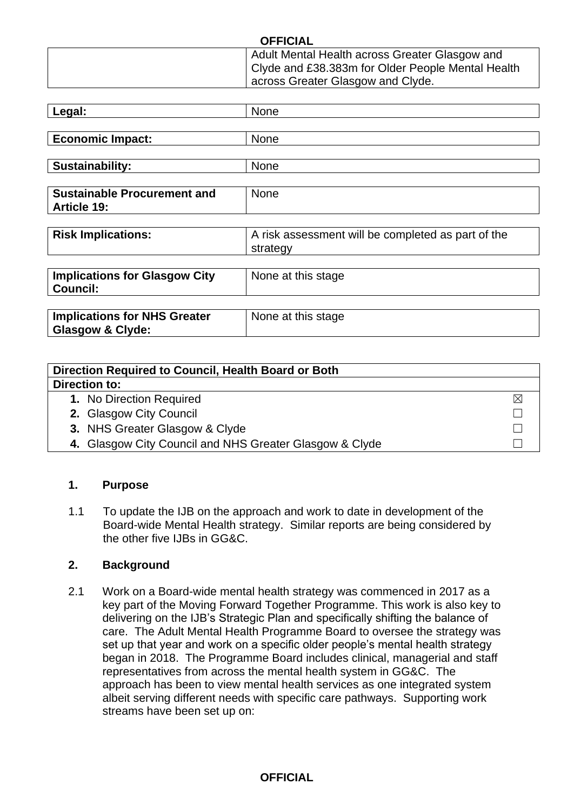| Legal:                               | None                                               |
|--------------------------------------|----------------------------------------------------|
|                                      |                                                    |
| <b>Economic Impact:</b>              | None                                               |
|                                      |                                                    |
| <b>Sustainability:</b>               | None                                               |
|                                      |                                                    |
| <b>Sustainable Procurement and</b>   | None                                               |
| <b>Article 19:</b>                   |                                                    |
|                                      |                                                    |
| <b>Risk Implications:</b>            | A risk assessment will be completed as part of the |
|                                      | strategy                                           |
|                                      |                                                    |
| <b>Implications for Glasgow City</b> | None at this stage                                 |
| <b>Council:</b>                      |                                                    |
|                                      |                                                    |
| <b>Implications for NHS Greater</b>  | None at this stage                                 |
| <b>Glasgow &amp; Clyde:</b>          |                                                    |

| Direction Required to Council, Health Board or Both     |             |  |
|---------------------------------------------------------|-------------|--|
| Direction to:                                           |             |  |
| 1. No Direction Required                                | $\boxtimes$ |  |
| 2. Glasgow City Council                                 |             |  |
| 3. NHS Greater Glasgow & Clyde                          |             |  |
| 4. Glasgow City Council and NHS Greater Glasgow & Clyde |             |  |

#### **1. Purpose**

1.1 To update the IJB on the approach and work to date in development of the Board-wide Mental Health strategy. Similar reports are being considered by the other five IJBs in GG&C.

#### **2. Background**

2.1 Work on a Board-wide mental health strategy was commenced in 2017 as a key part of the Moving Forward Together Programme. This work is also key to delivering on the IJB's Strategic Plan and specifically shifting the balance of care. The Adult Mental Health Programme Board to oversee the strategy was set up that year and work on a specific older people's mental health strategy began in 2018. The Programme Board includes clinical, managerial and staff representatives from across the mental health system in GG&C. The approach has been to view mental health services as one integrated system albeit serving different needs with specific care pathways. Supporting work streams have been set up on: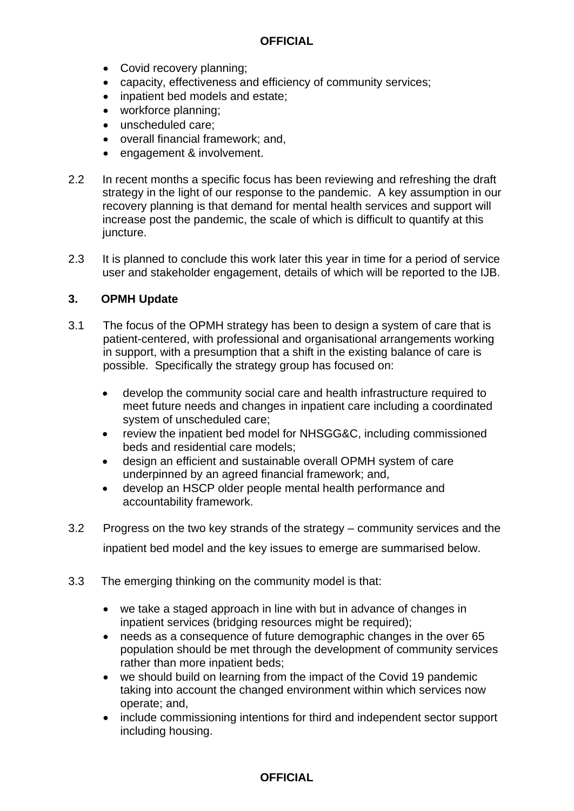- Covid recovery planning;
- capacity, effectiveness and efficiency of community services;
- inpatient bed models and estate;
- workforce planning;
- unscheduled care:
- overall financial framework; and,
- engagement & involvement.
- 2.2 In recent months a specific focus has been reviewing and refreshing the draft strategy in the light of our response to the pandemic. A key assumption in our recovery planning is that demand for mental health services and support will increase post the pandemic, the scale of which is difficult to quantify at this juncture.
- 2.3 It is planned to conclude this work later this year in time for a period of service user and stakeholder engagement, details of which will be reported to the IJB.

#### **3. OPMH Update**

- 3.1 The focus of the OPMH strategy has been to design a system of care that is patient-centered, with professional and organisational arrangements working in support, with a presumption that a shift in the existing balance of care is possible. Specifically the strategy group has focused on:
	- develop the community social care and health infrastructure required to meet future needs and changes in inpatient care including a coordinated system of unscheduled care;
	- review the inpatient bed model for NHSGG&C, including commissioned beds and residential care models;
	- design an efficient and sustainable overall OPMH system of care underpinned by an agreed financial framework; and,
	- develop an HSCP older people mental health performance and accountability framework.
- 3.2 Progress on the two key strands of the strategy community services and the inpatient bed model and the key issues to emerge are summarised below.
- 3.3 The emerging thinking on the community model is that:
	- we take a staged approach in line with but in advance of changes in inpatient services (bridging resources might be required);
	- needs as a consequence of future demographic changes in the over 65 population should be met through the development of community services rather than more inpatient beds;
	- we should build on learning from the impact of the Covid 19 pandemic taking into account the changed environment within which services now operate; and,
	- include commissioning intentions for third and independent sector support including housing.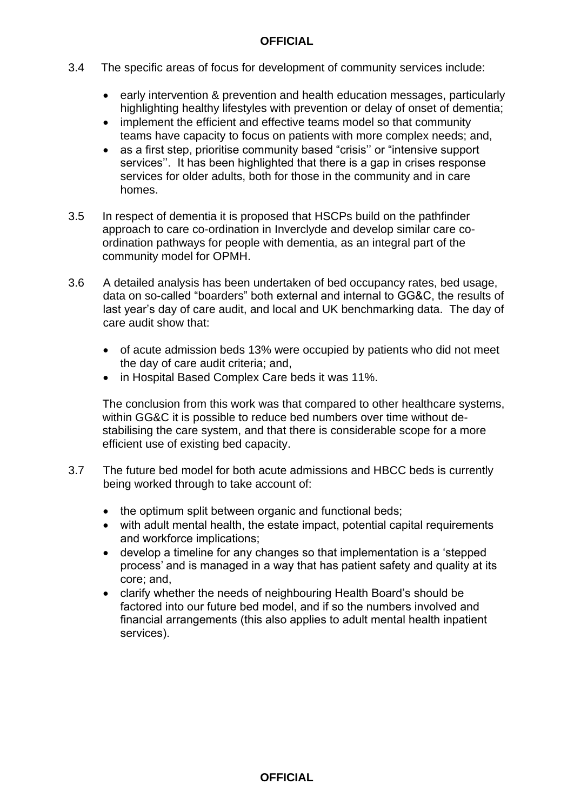- 3.4 The specific areas of focus for development of community services include:
	- early intervention & prevention and health education messages, particularly highlighting healthy lifestyles with prevention or delay of onset of dementia;
	- implement the efficient and effective teams model so that community teams have capacity to focus on patients with more complex needs; and,
	- as a first step, prioritise community based "crisis" or "intensive support services''. It has been highlighted that there is a gap in crises response services for older adults, both for those in the community and in care homes.
- 3.5 In respect of dementia it is proposed that HSCPs build on the pathfinder approach to care co-ordination in Inverclyde and develop similar care coordination pathways for people with dementia, as an integral part of the community model for OPMH.
- 3.6 A detailed analysis has been undertaken of bed occupancy rates, bed usage, data on so-called "boarders" both external and internal to GG&C, the results of last year's day of care audit, and local and UK benchmarking data. The day of care audit show that:
	- of acute admission beds 13% were occupied by patients who did not meet the day of care audit criteria; and,
	- in Hospital Based Complex Care beds it was 11%.

The conclusion from this work was that compared to other healthcare systems, within GG&C it is possible to reduce bed numbers over time without destabilising the care system, and that there is considerable scope for a more efficient use of existing bed capacity.

- 3.7 The future bed model for both acute admissions and HBCC beds is currently being worked through to take account of:
	- the optimum split between organic and functional beds;
	- with adult mental health, the estate impact, potential capital requirements and workforce implications;
	- develop a timeline for any changes so that implementation is a 'stepped process' and is managed in a way that has patient safety and quality at its core; and,
	- clarify whether the needs of neighbouring Health Board's should be factored into our future bed model, and if so the numbers involved and financial arrangements (this also applies to adult mental health inpatient services).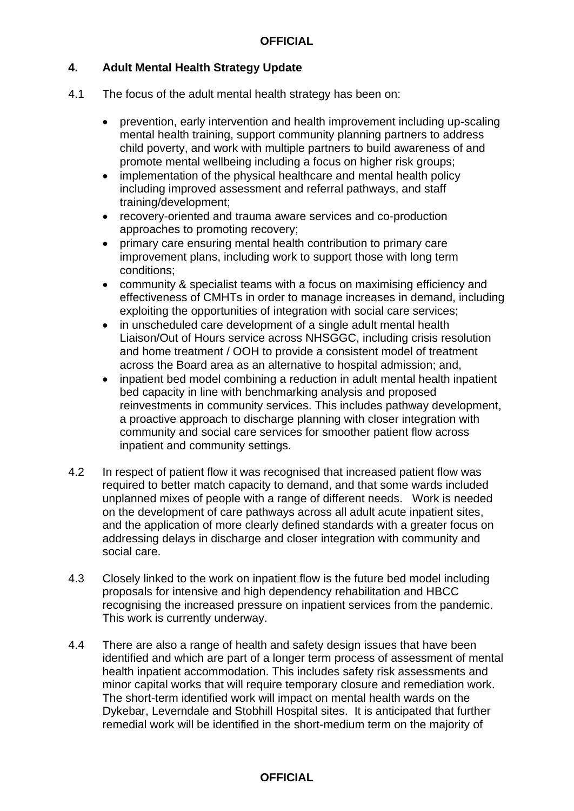#### **4. Adult Mental Health Strategy Update**

- 4.1 The focus of the adult mental health strategy has been on:
	- prevention, early intervention and health improvement including up-scaling mental health training, support community planning partners to address child poverty, and work with multiple partners to build awareness of and promote mental wellbeing including a focus on higher risk groups;
	- implementation of the physical healthcare and mental health policy including improved assessment and referral pathways, and staff training/development;
	- recovery-oriented and trauma aware services and co-production approaches to promoting recovery;
	- primary care ensuring mental health contribution to primary care improvement plans, including work to support those with long term conditions;
	- community & specialist teams with a focus on maximising efficiency and effectiveness of CMHTs in order to manage increases in demand, including exploiting the opportunities of integration with social care services;
	- in unscheduled care development of a single adult mental health Liaison/Out of Hours service across NHSGGC, including crisis resolution and home treatment / OOH to provide a consistent model of treatment across the Board area as an alternative to hospital admission; and,
	- inpatient bed model combining a reduction in adult mental health inpatient bed capacity in line with benchmarking analysis and proposed reinvestments in community services. This includes pathway development, a proactive approach to discharge planning with closer integration with community and social care services for smoother patient flow across inpatient and community settings.
- 4.2 In respect of patient flow it was recognised that increased patient flow was required to better match capacity to demand, and that some wards included unplanned mixes of people with a range of different needs. Work is needed on the development of care pathways across all adult acute inpatient sites, and the application of more clearly defined standards with a greater focus on addressing delays in discharge and closer integration with community and social care.
- 4.3 Closely linked to the work on inpatient flow is the future bed model including proposals for intensive and high dependency rehabilitation and HBCC recognising the increased pressure on inpatient services from the pandemic. This work is currently underway.
- 4.4 There are also a range of health and safety design issues that have been identified and which are part of a longer term process of assessment of mental health inpatient accommodation. This includes safety risk assessments and minor capital works that will require temporary closure and remediation work. The short-term identified work will impact on mental health wards on the Dykebar, Leverndale and Stobhill Hospital sites. It is anticipated that further remedial work will be identified in the short-medium term on the majority of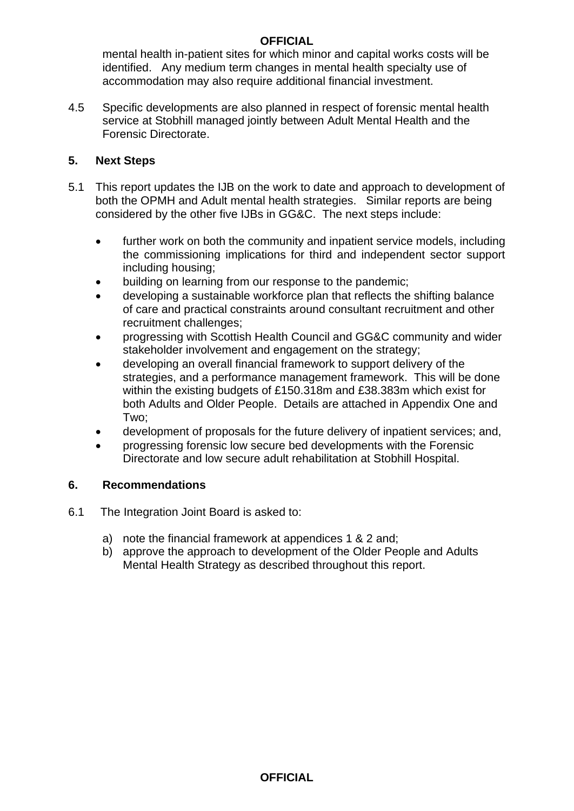mental health in-patient sites for which minor and capital works costs will be identified. Any medium term changes in mental health specialty use of accommodation may also require additional financial investment.

4.5 Specific developments are also planned in respect of forensic mental health service at Stobhill managed jointly between Adult Mental Health and the Forensic Directorate.

## **5. Next Steps**

- 5.1 This report updates the IJB on the work to date and approach to development of both the OPMH and Adult mental health strategies. Similar reports are being considered by the other five IJBs in GG&C. The next steps include:
	- further work on both the community and inpatient service models, including the commissioning implications for third and independent sector support including housing;
	- building on learning from our response to the pandemic;
	- developing a sustainable workforce plan that reflects the shifting balance of care and practical constraints around consultant recruitment and other recruitment challenges;
	- progressing with Scottish Health Council and GG&C community and wider stakeholder involvement and engagement on the strategy;
	- developing an overall financial framework to support delivery of the strategies, and a performance management framework. This will be done within the existing budgets of £150.318m and £38.383m which exist for both Adults and Older People. Details are attached in Appendix One and Two;
	- development of proposals for the future delivery of inpatient services; and,
	- progressing forensic low secure bed developments with the Forensic Directorate and low secure adult rehabilitation at Stobhill Hospital.

## **6. Recommendations**

- 6.1 The Integration Joint Board is asked to:
	- a) note the financial framework at appendices 1 & 2 and;
	- b) approve the approach to development of the Older People and Adults Mental Health Strategy as described throughout this report.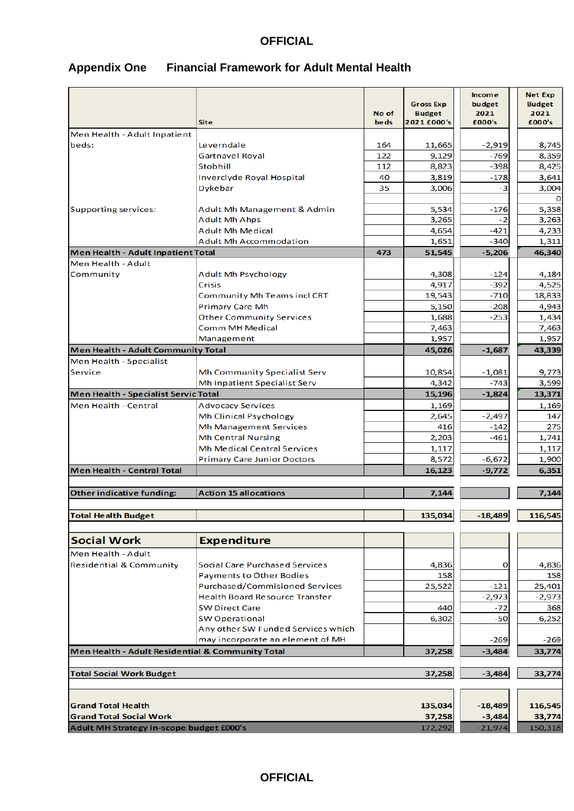| <b>Appendix One</b> | <b>Financial Framework for Adult Mental Health</b> |
|---------------------|----------------------------------------------------|
|---------------------|----------------------------------------------------|

|                                                             | <b>Site</b>                                        | No of<br><b>beds</b> | <b>Gross Exp</b><br><b>Budget</b><br>2021 £000's | <b>Income</b><br>budget<br>2021<br>£000's | <b>Net Exp</b><br><b>Budget</b><br>2021<br>£000's |
|-------------------------------------------------------------|----------------------------------------------------|----------------------|--------------------------------------------------|-------------------------------------------|---------------------------------------------------|
| Men Health - Adult Inpatient                                |                                                    |                      |                                                  |                                           |                                                   |
| beds:                                                       | Leverndale                                         | 164                  | 11,665                                           | $-2,919$                                  | 8,745                                             |
|                                                             | Gartnavel Royal                                    | 122                  | 9,129                                            | $-769$                                    | 8,359                                             |
|                                                             | <b>Stobhill</b>                                    | 112                  | 8,823                                            | $-398$                                    | 8,425                                             |
|                                                             | <b>Inverclyde Royal Hospital</b>                   | 40                   | 3,819                                            | $-178$                                    | 3,641                                             |
|                                                             | Dykebar                                            | 35                   | 3,006                                            | -3                                        | 3,004                                             |
| Supporting services:                                        | Adult Mh Management & Admin                        |                      | 5,534                                            | $-176$                                    | 5,358                                             |
|                                                             | <b>Adult Mh Ahps</b>                               |                      | 3,265                                            | -2                                        | 3,263                                             |
|                                                             | <b>Adult Mh Medical</b>                            |                      | 4,654                                            | $-421$                                    | 4,233                                             |
|                                                             | <b>Adult Mh Accommodation</b>                      |                      | 1,651                                            | $-340$                                    | 1,311                                             |
| Men Health - Adult Inpatient Total                          |                                                    | 473                  | 51,545                                           | $-5,206$                                  | 46,340                                            |
| Men Health - Adult                                          |                                                    |                      |                                                  |                                           |                                                   |
| Community                                                   | <b>Adult Mh Psychology</b>                         |                      | 4,308                                            | $-124$                                    | 4,184                                             |
|                                                             | Crisis                                             |                      | 4,917                                            | $-392$                                    | 4,525                                             |
|                                                             | Community Mh Teams incl CRT                        |                      | 19,543                                           | $-710$                                    | 18,833                                            |
|                                                             | <b>Primary Care Mh</b>                             |                      | 5,150                                            | $-208$                                    | 4,943                                             |
|                                                             | <b>Other Community Services</b><br>Comm MH Medical |                      | 1,688                                            | $-253$                                    | 1,434                                             |
|                                                             | Management                                         |                      | 7,463<br>1,957                                   |                                           | 7,463<br>1,957                                    |
| Men Health - Adult Community Total                          |                                                    |                      | 45,026                                           | $-1,687$                                  | 43,339                                            |
| Men Health - Specialist                                     |                                                    |                      |                                                  |                                           |                                                   |
| Service                                                     | Mh Community Specialist Serv                       |                      | 10,854                                           | $-1,081$                                  | 9,773                                             |
|                                                             | Mh Inpatient Specialist Serv                       |                      | 4,342                                            | $-743$                                    | 3,599                                             |
| Men Health - Specialist Servic Total                        |                                                    |                      | 15,196                                           | $-1,824$                                  | 13,371                                            |
| Men Health - Central                                        | <b>Advocacy Services</b>                           |                      | 1,169                                            |                                           | 1,169                                             |
|                                                             | <b>Mh Clinical Psychology</b>                      |                      | 2,645                                            | $-2,497$                                  | 147                                               |
|                                                             | <b>Mh Management Services</b>                      |                      | 416                                              | $-142$                                    | 275                                               |
|                                                             | <b>Mh Central Nursing</b>                          |                      | 2,203                                            | $-461$                                    | 1,741                                             |
|                                                             | <b>Mh Medical Central Services</b>                 |                      | 1,117                                            |                                           | 1,117                                             |
|                                                             | <b>Primary Care Junior Doctors</b>                 |                      | 8,572                                            | $-6,672$                                  | 1,900                                             |
| Men Health - Central Total                                  |                                                    |                      | 16,123                                           | $-9,772$                                  | 6,351                                             |
|                                                             |                                                    |                      |                                                  |                                           |                                                   |
| Other indicative funding:                                   | <b>Action 15 allocations</b>                       |                      | 7,144                                            |                                           | 7,144                                             |
| <b>Total Health Budget</b>                                  |                                                    |                      | 135,034                                          | $-18,489$                                 | 116,545                                           |
|                                                             |                                                    |                      |                                                  |                                           |                                                   |
| <b>Social Work</b>                                          | <b>Expenditure</b>                                 |                      |                                                  |                                           |                                                   |
|                                                             |                                                    |                      |                                                  |                                           |                                                   |
| Men Health - Adult                                          | Social Care Purchased Services                     |                      |                                                  |                                           |                                                   |
| <b>Residential &amp; Community</b>                          | <b>Payments to Other Bodies</b>                    |                      | 4,836<br>158                                     | 0                                         | 4,836<br>158                                      |
|                                                             | <b>Purchased/Commisioned Services</b>              |                      | 25,522                                           | $-121$                                    | 25,401                                            |
|                                                             | <b>Health Board Resource Transfer</b>              |                      |                                                  | $-2,973$                                  | $-2,973$                                          |
|                                                             | <b>SW Direct Care</b>                              |                      | 440                                              | $-72$                                     | 368                                               |
|                                                             | <b>SW Operational</b>                              |                      | 6,302                                            | $-50$                                     | 6,252                                             |
|                                                             | Any other SW Funded Services which                 |                      |                                                  |                                           |                                                   |
|                                                             | may incorporate an element of MH                   |                      |                                                  | $-269$                                    | $-269$                                            |
| Men Health - Adult Residential & Community Total            |                                                    |                      | 37,258                                           | $-3,484$                                  | 33,774                                            |
|                                                             |                                                    |                      |                                                  |                                           |                                                   |
| <b>Total Social Work Budget</b>                             |                                                    |                      | 37,258                                           | $-3,484$                                  | 33,774                                            |
|                                                             |                                                    |                      |                                                  |                                           |                                                   |
| <b>Grand Total Health</b><br><b>Grand Total Social Work</b> |                                                    |                      | 135,034<br>37,258                                | $-18,489$<br>$-3,484$                     | 116,545<br>33,774                                 |
| Adult MH Strategy in-scope budget £000's                    |                                                    |                      | 172,292                                          | $-21,974$                                 | 150,318                                           |